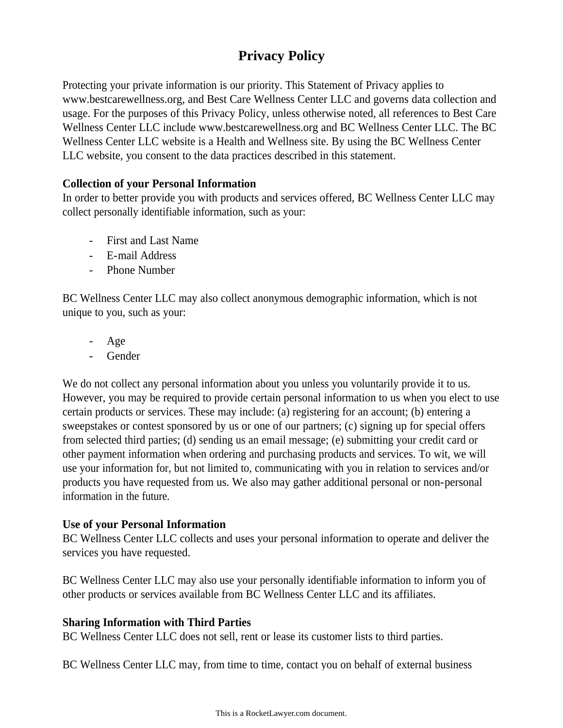# **Privacy Policy**

Protecting your private information is our priority. This Statement of Privacy applies to www.bestcarewellness.org, and Best Care Wellness Center LLC and governs data collection and usage. For the purposes of this Privacy Policy, unless otherwise noted, all references to Best Care Wellness Center LLC include www.bestcarewellness.org and BC Wellness Center LLC. The BC Wellness Center LLC website is a Health and Wellness site. By using the BC Wellness Center LLC website, you consent to the data practices described in this statement.

## **Collection of your Personal Information**

In order to better provide you with products and services offered, BC Wellness Center LLC may collect personally identifiable information, such as your:

- First and Last Name
- E-mail Address
- Phone Number

BC Wellness Center LLC may also collect anonymous demographic information, which is not unique to you, such as your:

- Age
- Gender

We do not collect any personal information about you unless you voluntarily provide it to us. However, you may be required to provide certain personal information to us when you elect to use certain products or services. These may include: (a) registering for an account; (b) entering a sweepstakes or contest sponsored by us or one of our partners; (c) signing up for special offers from selected third parties; (d) sending us an email message; (e) submitting your credit card or other payment information when ordering and purchasing products and services. To wit, we will use your information for, but not limited to, communicating with you in relation to services and/or products you have requested from us. We also may gather additional personal or non-personal information in the future.

## **Use of your Personal Information**

BC Wellness Center LLC collects and uses your personal information to operate and deliver the services you have requested.

BC Wellness Center LLC may also use your personally identifiable information to inform you of other products or services available from BC Wellness Center LLC and its affiliates.

## **Sharing Information with Third Parties**

BC Wellness Center LLC does not sell, rent or lease its customer lists to third parties.

BC Wellness Center LLC may, from time to time, contact you on behalf of external business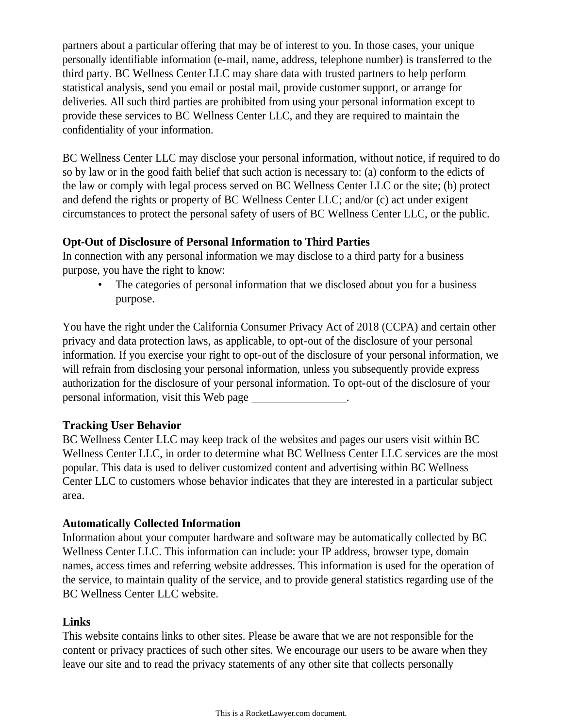partners about a particular offering that may be of interest to you. In those cases, your unique personally identifiable information (e-mail, name, address, telephone number) is transferred to the third party. BC Wellness Center LLC may share data with trusted partners to help perform statistical analysis, send you email or postal mail, provide customer support, or arrange for deliveries. All such third parties are prohibited from using your personal information except to provide these services to BC Wellness Center LLC, and they are required to maintain the confidentiality of your information.

BC Wellness Center LLC may disclose your personal information, without notice, if required to do so by law or in the good faith belief that such action is necessary to: (a) conform to the edicts of the law or comply with legal process served on BC Wellness Center LLC or the site; (b) protect and defend the rights or property of BC Wellness Center LLC; and/or (c) act under exigent circumstances to protect the personal safety of users of BC Wellness Center LLC, or the public.

#### **Opt-Out of Disclosure of Personal Information to Third Parties**

In connection with any personal information we may disclose to a third party for a business purpose, you have the right to know:

• The categories of personal information that we disclosed about you for a business purpose.

You have the right under the California Consumer Privacy Act of 2018 (CCPA) and certain other privacy and data protection laws, as applicable, to opt-out of the disclosure of your personal information. If you exercise your right to opt-out of the disclosure of your personal information, we will refrain from disclosing your personal information, unless you subsequently provide express authorization for the disclosure of your personal information. To opt-out of the disclosure of your personal information, visit this Web page \_\_\_\_\_\_\_\_\_\_\_\_\_\_\_\_\_.

## **Tracking User Behavior**

BC Wellness Center LLC may keep track of the websites and pages our users visit within BC Wellness Center LLC, in order to determine what BC Wellness Center LLC services are the most popular. This data is used to deliver customized content and advertising within BC Wellness Center LLC to customers whose behavior indicates that they are interested in a particular subject area.

## **Automatically Collected Information**

Information about your computer hardware and software may be automatically collected by BC Wellness Center LLC. This information can include: your IP address, browser type, domain names, access times and referring website addresses. This information is used for the operation of the service, to maintain quality of the service, and to provide general statistics regarding use of the BC Wellness Center LLC website.

## **Links**

This website contains links to other sites. Please be aware that we are not responsible for the content or privacy practices of such other sites. We encourage our users to be aware when they leave our site and to read the privacy statements of any other site that collects personally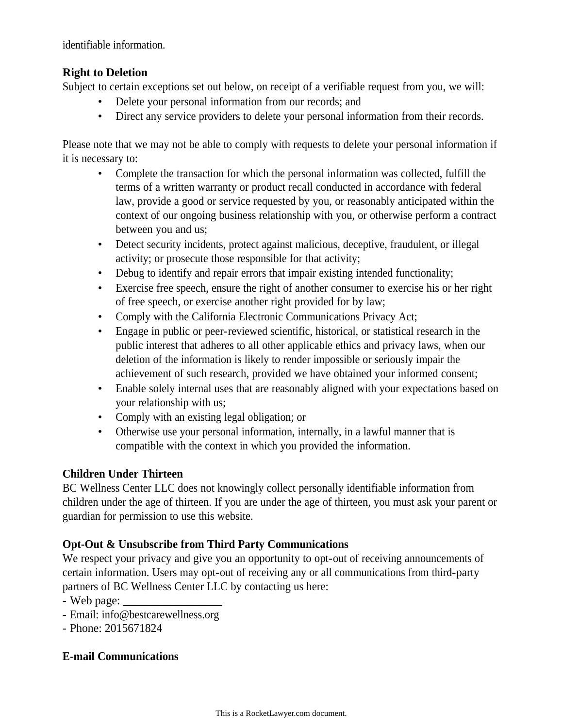identifiable information.

## **Right to Deletion**

Subject to certain exceptions set out below, on receipt of a verifiable request from you, we will:

- Delete your personal information from our records; and
- Direct any service providers to delete your personal information from their records.

Please note that we may not be able to comply with requests to delete your personal information if it is necessary to:

- Complete the transaction for which the personal information was collected, fulfill the terms of a written warranty or product recall conducted in accordance with federal law, provide a good or service requested by you, or reasonably anticipated within the context of our ongoing business relationship with you, or otherwise perform a contract between you and us;
- Detect security incidents, protect against malicious, deceptive, fraudulent, or illegal activity; or prosecute those responsible for that activity;
- Debug to identify and repair errors that impair existing intended functionality;
- Exercise free speech, ensure the right of another consumer to exercise his or her right of free speech, or exercise another right provided for by law;
- Comply with the California Electronic Communications Privacy Act;
- Engage in public or peer-reviewed scientific, historical, or statistical research in the public interest that adheres to all other applicable ethics and privacy laws, when our deletion of the information is likely to render impossible or seriously impair the achievement of such research, provided we have obtained your informed consent;
- Enable solely internal uses that are reasonably aligned with your expectations based on your relationship with us;
- Comply with an existing legal obligation; or
- Otherwise use your personal information, internally, in a lawful manner that is compatible with the context in which you provided the information.

# **Children Under Thirteen**

BC Wellness Center LLC does not knowingly collect personally identifiable information from children under the age of thirteen. If you are under the age of thirteen, you must ask your parent or guardian for permission to use this website.

# **Opt-Out & Unsubscribe from Third Party Communications**

We respect your privacy and give you an opportunity to opt-out of receiving announcements of certain information. Users may opt-out of receiving any or all communications from third-party partners of BC Wellness Center LLC by contacting us here:

- $-$  Web page:  $\_\_$
- Email: info@bestcarewellness.org
- Phone: 2015671824

## **E-mail Communications**